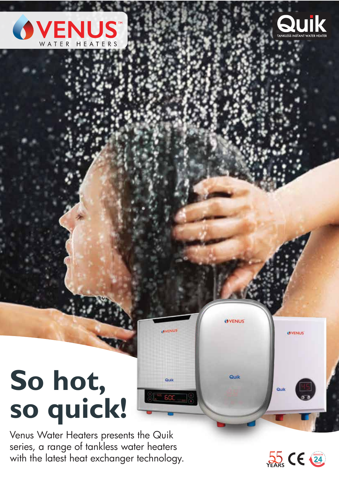



# **So hot, so quick!**

Venus Water Heaters presents the Quik series, a range of tankless water heaters with the latest heat exchanger technology.



**OVENUS** 

Quik

**OVENUS** 

Quik

**OVENUS** 

Quik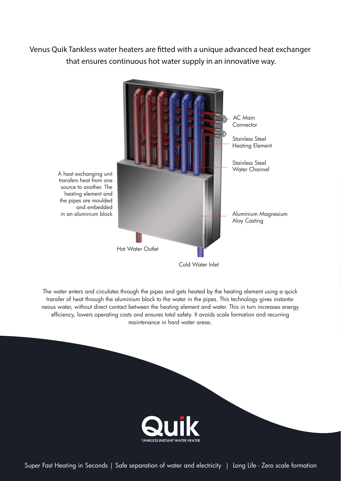**Venus Quik Tankless water heaters are tted with a unique advanced heat exchanger that ensures continuous hot water supply in an innovative way.**



The water enters and circulates through the pipes and gets heated by the heating element using a quick transfer of heat through the aluminium block to the water in the pipes. This technology gives instantaneous water, without direct contact between the heating element and water. This in turn increases energy efficiency, lowers operating costs and ensures total safety. It avoids scale formation and recurring maintenance in hard water areas.



Super Fast Heating in Seconds | Safe separation of water and electricity | Long Life - Zero scale formation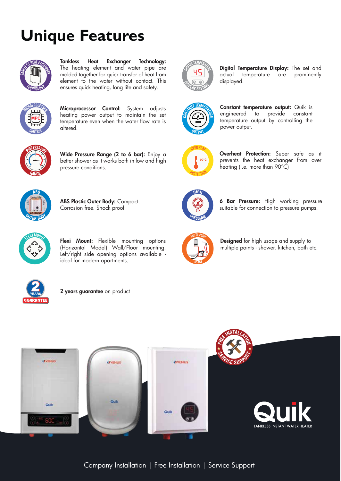## **Unique Features**



Tankless Heat Exchanger Technology: The heating element and water pipe are molded together for quick transfer of heat from element to the water without contact. This ensures quick heating, long life and safety.



Microprocessor Control: System adjusts heating power output to maintain the set temperature even when the water flow rate is altered.



Wide Pressure Range (2 to 6 bar): Enjoy a better shower as it works both in low and high pressure conditions.



ABS Plastic Outer Body: Compact. Corrosion free. Shock proof



**6 Bar Pressure:** High working pressure suitable for connection to pressure pumps.



Flexi Mount: Flexible mounting options (Horizontal Model) Wall/Floor mounting. Left/right side opening options available ideal for modern apartments.



Designed for high usage and supply to multiple points - shower, kitchen, bath etc.



2 years guarantee on product



**Digital Temperature Display:** The set and actual temperature are prominently actual temperature are displayed.



Constant temperature output: Quik is engineered to provide constant temperature output by controlling the power output.

Overheat Protection: Super safe as it prevents the heat exchanger from over

heating (i.e. more than 90°C)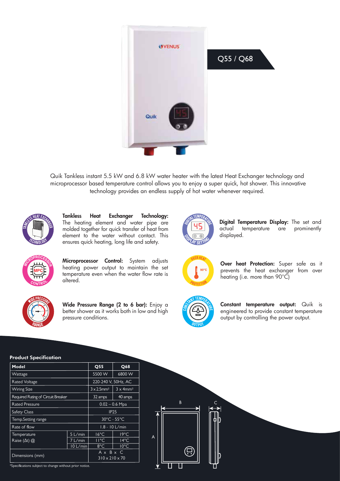

Quik Tankless instant 5.5 kW and 6.8 kW water heater with the latest Heat Exchanger technology and microprocessor based temperature control allows you to enjoy a super quick, hot shower. This innovative technology provides an endless supply of hot water whenever required.



Tankless Heat Exchanger Technology: The heating element and water pipe are molded together for quick transfer of heat from element to the water without contact. This ensures quick heating, long life and safety.



Microprocessor Control: System adjusts heating power output to maintain the set temperature even when the water flow rate is altered.



Wide Pressure Range (2 to 6 bar): Enjoy a better shower as it works both in low and high pressure conditions.



Digital Temperature Display: The set and actual temperature are prominently displayed.



Over heat Protection: Super safe as it prevents the heat exchanger from over heating (i.e. more than 90°C)



 $\overline{B}$ 

П

 $\overline{A}$ 

Constant temperature output: Quik is engineered to provide constant temperature output by controlling the power output.

#### Product Specification

| Model                              |          | Q55                                                            | Q68            |  |  |  |  |
|------------------------------------|----------|----------------------------------------------------------------|----------------|--|--|--|--|
| Wattage                            |          | 5500 W                                                         | 6800 W         |  |  |  |  |
| <b>Rated Voltage</b>               |          | 220-240 V, 50Hz, AC                                            |                |  |  |  |  |
| <b>Wiring Size</b>                 |          | $3 \times 2.5$ mm <sup>2</sup><br>$3 \times 4$ mm <sup>2</sup> |                |  |  |  |  |
| Required Rating of Circuit Breaker |          | 32 amps                                                        | 40 amps        |  |  |  |  |
| <b>Rated Pressure</b>              |          | $0.02 - 0.6$ Mpa                                               |                |  |  |  |  |
| <b>Safety Class</b>                |          | <b>IP25</b>                                                    |                |  |  |  |  |
| Temp. Setting range                |          | $30^{\circ}$ C - 55 $^{\circ}$ C                               |                |  |  |  |  |
| Rate of flow                       |          | $1.8 - 10$ L/min                                               |                |  |  |  |  |
| Temperature                        | 5 L/min  | $16^{\circ}$ C                                                 | $19^{\circ}$ C |  |  |  |  |
| Raise $(\Delta t)$ $\omega$        | 7 L/min  | $11^{\circ}$ C                                                 | $14^{\circ}$ C |  |  |  |  |
|                                    | 10 L/min | $8^{\circ}$ C                                                  | $10^{\circ}$ C |  |  |  |  |
| Dimensions (mm)                    |          | $A \times B \times C$                                          |                |  |  |  |  |
|                                    |          | $310 \times 210 \times 70$                                     |                |  |  |  |  |

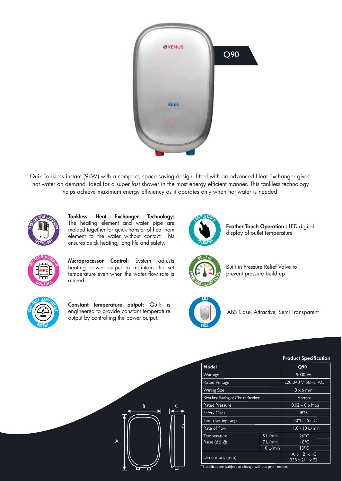

Quik Tankless instant (9kW) with a compact, space saving design, fitted with an advanced Heat Exchanger gives hot water on demand. Ideal for a super fast shower in the most energy efficient manner. This tankless technology helps achieve maximum energy efficiency as it operates only when hot water is needed.



**<sup>M</sup><sup>I</sup>CROPROCESSO<sup>R</sup>**

**MPC**

**<sup>C</sup>ONTRO<sup>L</sup>**

Tankless Heat Exchanger Technology: The heating element and water pipe are molded together for quick transfer of heat from element to the water without contact. This ensures quick heating, long life and safety.

Microprocessor Control: System adjusts heating power output to maintain the set temperature even when the water flow rate is







Built in Pressure Relief Valve to prevent pressure build up



altered.

Constant temperature output: Quik is engineered to provide constant temperature output by controlling the power output.



ABS Case, Attractive, Semi Transparent



|                                    | <b>Product Specification</b> |                              |  |
|------------------------------------|------------------------------|------------------------------|--|
| Model                              |                              | Q90                          |  |
| Wattage                            |                              | 9000 W                       |  |
| <b>Rated Voltage</b>               |                              | 220-240 V, 50Hz, AC          |  |
| <b>Wiring Size</b>                 |                              | $3 \times 6$ mm <sup>2</sup> |  |
| Required Rating of Circuit Breaker |                              | 50 amps                      |  |
| <b>Rated Pressure</b>              |                              | $0.02 - 0.6$ Mpa             |  |
| <b>Safety Class</b>                |                              | <b>IP25</b>                  |  |
| <b>Temp.Setting range</b>          |                              | 30°C - 55°C                  |  |
| Rate of flow                       |                              | $1.8 - 10$ L/min             |  |
| Temperature                        | 5 L/min                      | $26^{\circ}$ C               |  |
| Raise $(\Delta t)$ $\omega$        | 7 L/min                      | $18^{\circ}$ C               |  |
|                                    | $10$ L/min                   | 13°C                         |  |
|                                    |                              | A x B x C                    |  |
| Dimensions (mm)                    |                              | $338 \times 211 \times 72$   |  |

Specifications subject to change without prior notice<sup>.</sup>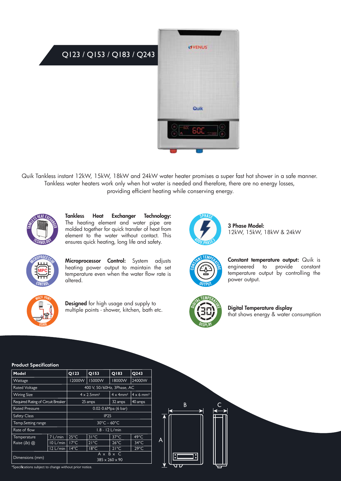

Quik Tankless instant 12kW, 15kW, 18kW and 24kW water heater promises a super fast hot shower in a safe manner. Tankless water heaters work only when hot water is needed and therefore, there are no energy losses, providing efficient heating while conserving energy.



Tankless Heat Exchanger Technology: The heating element and water pipe are molded together for quick transfer of heat from element to the water without contact. This ensures quick heating, long life and safety.



3 Phase Model: 12kW, 15kW, 18kW & 24kW



Microprocessor Control: System adjusts heating power output to maintain the set temperature even when the water flow rate is altered.



Designed for high usage and supply to multiple points - shower, kitchen, bath etc.



Constant temperature output: Quik is engineered to provide constant temperature output by controlling the power output.



Digital Temperature display that shows energy & water consumption

#### Product Specification

\*Specifications subject to change without prior notice.

| 11989619pccnicanon                 |                  |                                                     |                |                              |                              |  |  |  |
|------------------------------------|------------------|-----------------------------------------------------|----------------|------------------------------|------------------------------|--|--|--|
| Model                              |                  | Q123                                                | Q153           | Q183                         | Q243                         |  |  |  |
| Wattage                            |                  | 12000W                                              | <b>I5000W</b>  | 18000W                       | 24000W                       |  |  |  |
| <b>Rated Voltage</b>               |                  | 400 V, 50/60Hz, 3Phase, AC                          |                |                              |                              |  |  |  |
| <b>Wiring Size</b>                 |                  | $4 \times 2.5$ mm <sup>2</sup>                      |                | $4 \times 4$ mm <sup>2</sup> | $4 \times 6$ mm <sup>2</sup> |  |  |  |
| Required Rating of Circuit Breaker |                  | 25 amps                                             |                | 32 amps                      | 40 amps                      |  |  |  |
| <b>Rated Pressure</b>              |                  | 0.02-0.6Mpa (6 bar)                                 |                |                              |                              |  |  |  |
| <b>Safety Class</b>                |                  | <b>IP25</b>                                         |                |                              |                              |  |  |  |
| Temp. Setting range                |                  | $30^{\circ}$ C – 60 $^{\circ}$ C                    |                |                              |                              |  |  |  |
| Rate of flow                       | $1.8 - 12$ L/min |                                                     |                |                              |                              |  |  |  |
| Temperature                        | 7 L/min          | $25^{\circ}$ C                                      | $31^{\circ}$ C | $37^{\circ}$ C               | $49^{\circ}$ C               |  |  |  |
| Raise $(\Delta t)$ $\omega$        | 10 L/min         | $17^{\circ}$ C                                      | $21^{\circ}$ C | $26^{\circ}$ C               | $34^{\circ}$ C               |  |  |  |
|                                    | 12 L/min         | $14^{\circ}$ C                                      | $18^{\circ}$ C | $21^{\circ}$ C               | $29^{\circ}$ C               |  |  |  |
| Dimensions (mm)                    |                  | $A \times B \times C$<br>$385 \times 260 \times 90$ |                |                              |                              |  |  |  |

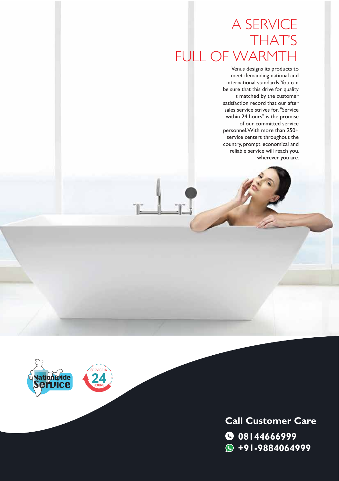### A SERVICE THAT'S FULL OF WARMTH

Venus designs its products to meet demanding national and international standards. You can be sure that this drive for quality is matched by the customer satisfaction record that our after sales service strives for. "Service within 24 hours" is the promise of our committed service personnel. With more than 250+ service centers throughout the country, prompt, economical and reliable service will reach you, wherever you are.



**08144666999 +91-9884064999 Call Customer Care**